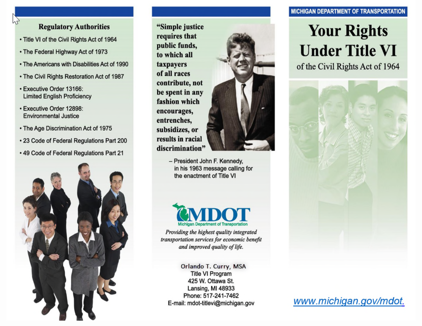## **Regulatory Authorities**

- Title VI of the Civil Rights Act of 1964
- The Federal Highway Act of 1973
- The Americans with Disabilities Act of 1990
- The Civil Rights Restoration Act of 1987
- · Executive Order 13166: **Limited English Proficiency**
- · Executive Order 12898: **Environmental Justice**
- The Age Discrimination Act of 1975
- . 23 Code of Federal Regulations Part 200
- . 49 Code of Federal Regulations Part 21



"Simple justice requires that public funds, to which all taxpayers of all races contribute, not be spent in any fashion which encourages, entrenches, subsidizes, or results in racial discrimination"



- President John F. Kennedy, in his 1963 message calling for the enactment of Title VI



Providing the highest quality integrated transportation services for economic benefit and improved quality of life.

Orlando T. Curry, MSA **Title VI Program** 425 W. Ottawa St. Lansing, MI 48933 Phone: 517-241-7462 E-mail: mdot-titlevi@michigan.gov

## **MICHIGAN DEPARTMENT OF TRANSPORTATION**

# **Your Rights Under Title VI**

of the Civil Rights Act of 1964



www.michigan.gov/mdot.